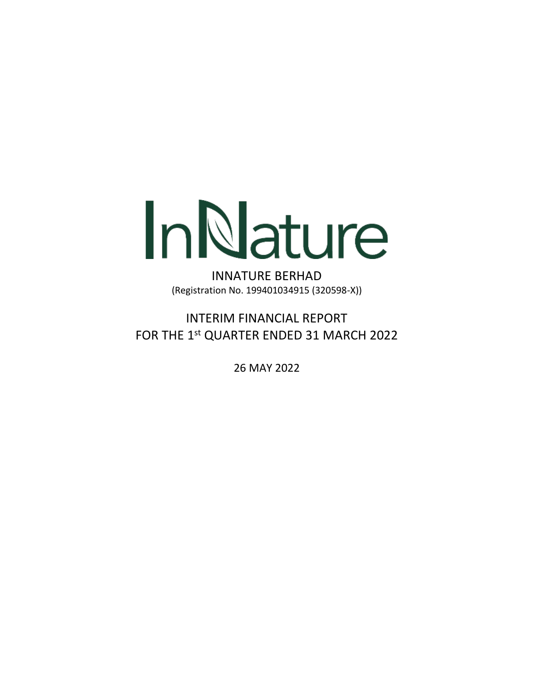

INNATURE BERHAD (Registration No. 199401034915 (320598-X))

INTERIM FINANCIAL REPORT FOR THE 1<sup>st</sup> QUARTER ENDED 31 MARCH 2022

26 MAY 2022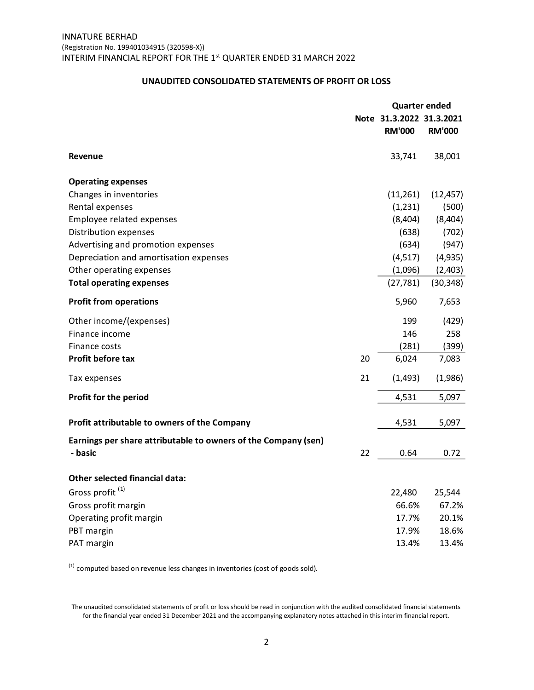### **UNAUDITED CONSOLIDATED STATEMENTS OF PROFIT OR LOSS**

|                                                                | <b>Quarter ended</b> |                          |               |
|----------------------------------------------------------------|----------------------|--------------------------|---------------|
|                                                                |                      | Note 31.3.2022 31.3.2021 |               |
|                                                                |                      | <b>RM'000</b>            | <b>RM'000</b> |
| <b>Revenue</b>                                                 |                      | 33,741                   | 38,001        |
| <b>Operating expenses</b>                                      |                      |                          |               |
| Changes in inventories                                         |                      | (11,261)                 | (12, 457)     |
| Rental expenses                                                |                      | (1,231)                  | (500)         |
| <b>Employee related expenses</b>                               |                      | (8,404)                  | (8, 404)      |
| Distribution expenses                                          |                      | (638)                    | (702)         |
| Advertising and promotion expenses                             |                      | (634)                    | (947)         |
| Depreciation and amortisation expenses                         |                      | (4, 517)                 | (4, 935)      |
| Other operating expenses                                       |                      | (1,096)                  | (2,403)       |
| <b>Total operating expenses</b>                                |                      | (27, 781)                | (30, 348)     |
| <b>Profit from operations</b>                                  |                      | 5,960                    | 7,653         |
| Other income/(expenses)                                        |                      | 199                      | (429)         |
| Finance income                                                 |                      | 146                      | 258           |
| Finance costs                                                  |                      | (281)                    | (399)         |
| <b>Profit before tax</b>                                       | 20                   | 6,024                    | 7,083         |
| Tax expenses                                                   | 21                   | (1, 493)                 | (1,986)       |
| Profit for the period                                          |                      | 4,531                    | 5,097         |
| Profit attributable to owners of the Company                   |                      | 4,531                    | 5,097         |
| Earnings per share attributable to owners of the Company (sen) |                      |                          |               |
| - basic                                                        | 22                   | 0.64                     | 0.72          |
| <b>Other selected financial data:</b>                          |                      |                          |               |
| Gross profit <sup>(1)</sup>                                    |                      | 22,480                   | 25,544        |
| Gross profit margin                                            |                      | 66.6%                    | 67.2%         |
| Operating profit margin                                        |                      | 17.7%                    | 20.1%         |
| PBT margin                                                     |                      | 17.9%                    | 18.6%         |
| PAT margin                                                     |                      | 13.4%                    | 13.4%         |

 $<sup>(1)</sup>$  computed based on revenue less changes in inventories (cost of goods sold).</sup>

The unaudited consolidated statements of profit or loss should be read in conjunction with the audited consolidated financial statements for the financial year ended 31 December 2021 and the accompanying explanatory notes attached in this interim financial report.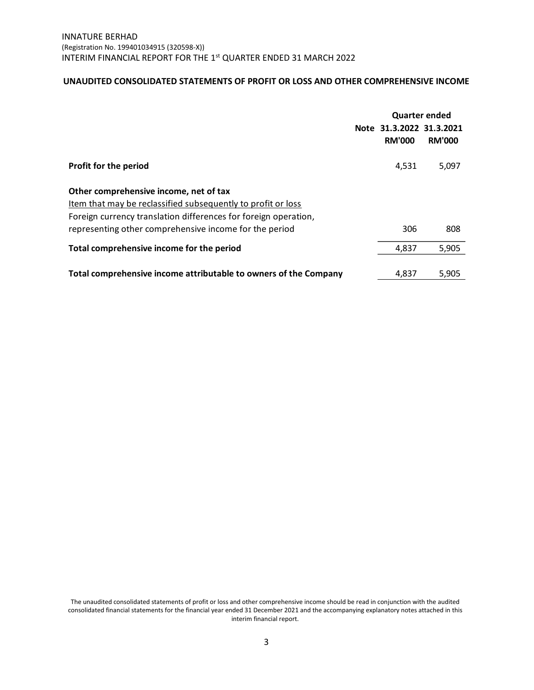## **UNAUDITED CONSOLIDATED STATEMENTS OF PROFIT OR LOSS AND OTHER COMPREHENSIVE INCOME**

|                                                                                                                                                                                                                                     | Note 31.3.2022 31.3.2021<br><b>RM'000</b> | <b>Quarter ended</b><br><b>RM'000</b> |
|-------------------------------------------------------------------------------------------------------------------------------------------------------------------------------------------------------------------------------------|-------------------------------------------|---------------------------------------|
| Profit for the period                                                                                                                                                                                                               | 4.531                                     | 5,097                                 |
| Other comprehensive income, net of tax<br>Item that may be reclassified subsequently to profit or loss<br>Foreign currency translation differences for foreign operation,<br>representing other comprehensive income for the period | 306                                       | 808                                   |
| Total comprehensive income for the period                                                                                                                                                                                           | 4,837                                     | 5,905                                 |
| Total comprehensive income attributable to owners of the Company                                                                                                                                                                    | 4.837                                     | 5,905                                 |

The unaudited consolidated statements of profit or loss and other comprehensive income should be read in conjunction with the audited consolidated financial statements for the financial year ended 31 December 2021 and the accompanying explanatory notes attached in this interim financial report.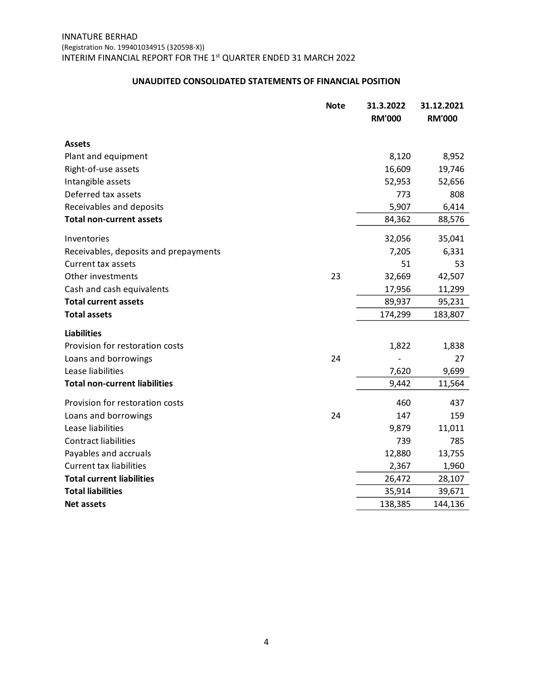## **UNAUDITED CONSOLIDATED STATEMENTS OF FINANCIAL POSITION**

|                                       | <b>Note</b> | 31.3.2022<br><b>RM'000</b> | 31.12.2021<br><b>RM'000</b> |
|---------------------------------------|-------------|----------------------------|-----------------------------|
|                                       |             |                            |                             |
| <b>Assets</b>                         |             |                            |                             |
| Plant and equipment                   |             | 8,120                      | 8,952                       |
| Right-of-use assets                   |             | 16,609                     | 19,746                      |
| Intangible assets                     |             | 52,953                     | 52,656                      |
| Deferred tax assets                   |             | 773                        | 808                         |
| Receivables and deposits              |             | 5,907                      | 6,414                       |
| <b>Total non-current assets</b>       |             | 84,362                     | 88,576                      |
| Inventories                           |             | 32,056                     | 35,041                      |
| Receivables, deposits and prepayments |             | 7,205                      | 6,331                       |
| Current tax assets                    |             | 51                         | 53                          |
| Other investments                     | 23          | 32,669                     | 42,507                      |
| Cash and cash equivalents             |             | 17,956                     | 11,299                      |
| <b>Total current assets</b>           |             | 89,937                     | 95,231                      |
| <b>Total assets</b>                   |             | 174,299                    | 183,807                     |
| <b>Liabilities</b>                    |             |                            |                             |
| Provision for restoration costs       |             | 1,822                      | 1,838                       |
| Loans and borrowings                  | 24          |                            | 27                          |
| Lease liabilities                     |             | 7,620                      | 9,699                       |
| <b>Total non-current liabilities</b>  |             | 9,442                      | 11,564                      |
| Provision for restoration costs       |             | 460                        | 437                         |
| Loans and borrowings                  | 24          | 147                        | 159                         |
| Lease liabilities                     |             | 9,879                      | 11,011                      |
| <b>Contract liabilities</b>           |             | 739                        | 785                         |
| Payables and accruals                 |             | 12,880                     | 13,755                      |
| <b>Current tax liabilities</b>        |             | 2,367                      | 1,960                       |
| <b>Total current liabilities</b>      |             | 26,472                     | 28,107                      |
| <b>Total liabilities</b>              |             | 35,914                     | 39,671                      |
| <b>Net assets</b>                     |             | 138,385                    | 144,136                     |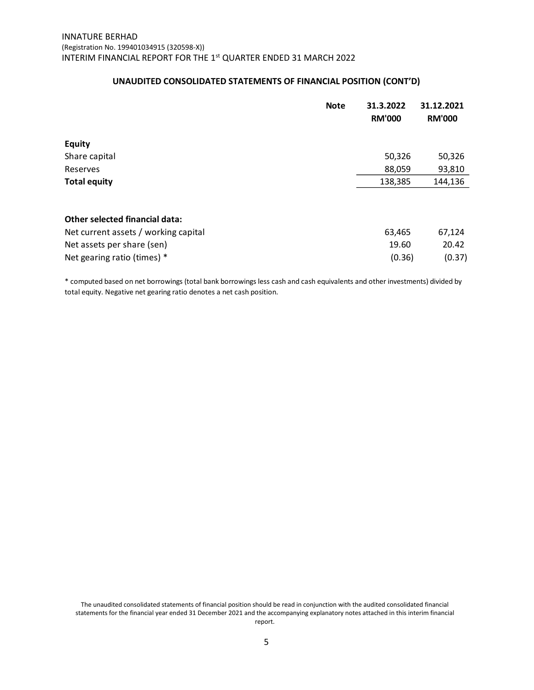## **UNAUDITED CONSOLIDATED STATEMENTS OF FINANCIAL POSITION (CONT'D)**

|                                      | <b>Note</b> | 31.3.2022<br><b>RM'000</b> | 31.12.2021<br><b>RM'000</b> |
|--------------------------------------|-------------|----------------------------|-----------------------------|
| <b>Equity</b>                        |             |                            |                             |
| Share capital                        |             | 50,326                     | 50,326                      |
| Reserves                             |             | 88,059                     | 93,810                      |
| <b>Total equity</b>                  |             | 138,385                    | 144,136                     |
| Other selected financial data:       |             |                            |                             |
| Net current assets / working capital |             | 63,465                     | 67,124                      |
| Net assets per share (sen)           |             | 19.60                      | 20.42                       |
| Net gearing ratio (times) *          |             | (0.36)                     | (0.37)                      |

\* computed based on net borrowings (total bank borrowings less cash and cash equivalents and other investments) divided by total equity. Negative net gearing ratio denotes a net cash position.

The unaudited consolidated statements of financial position should be read in conjunction with the audited consolidated financial statements for the financial year ended 31 December 2021 and the accompanying explanatory notes attached in this interim financial report.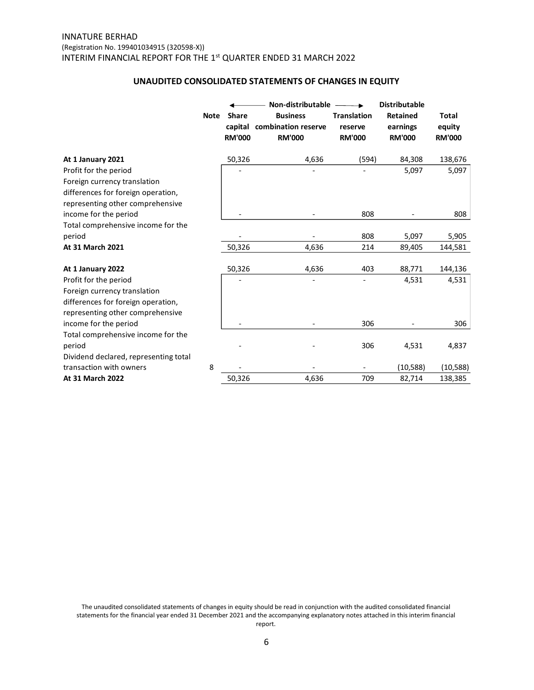### **UNAUDITED CONSOLIDATED STATEMENTS OF CHANGES IN EQUITY**

|                                                                                                        | <b>Note</b> | <b>Share</b><br><b>RM'000</b> | Non-distributable<br><b>Business</b><br>capital combination reserve<br><b>RM'000</b> | <b>Translation</b><br>reserve<br><b>RM'000</b> | <b>Distributable</b><br><b>Retained</b><br>earnings<br><b>RM'000</b> | Total<br>equity<br><b>RM'000</b> |
|--------------------------------------------------------------------------------------------------------|-------------|-------------------------------|--------------------------------------------------------------------------------------|------------------------------------------------|----------------------------------------------------------------------|----------------------------------|
| At 1 January 2021                                                                                      |             | 50,326                        | 4,636                                                                                | (594)                                          | 84,308                                                               | 138,676                          |
| Profit for the period                                                                                  |             |                               |                                                                                      |                                                | 5,097                                                                | 5,097                            |
| Foreign currency translation                                                                           |             |                               |                                                                                      |                                                |                                                                      |                                  |
| differences for foreign operation,<br>representing other comprehensive                                 |             |                               |                                                                                      |                                                |                                                                      |                                  |
| income for the period                                                                                  |             |                               |                                                                                      | 808                                            |                                                                      | 808                              |
| Total comprehensive income for the                                                                     |             |                               |                                                                                      |                                                |                                                                      |                                  |
| period                                                                                                 |             |                               |                                                                                      | 808                                            | 5,097                                                                | 5,905                            |
| At 31 March 2021                                                                                       |             | 50,326                        | 4,636                                                                                | 214                                            | 89,405                                                               | 144,581                          |
| At 1 January 2022                                                                                      |             | 50,326                        | 4,636                                                                                | 403                                            | 88,771                                                               | 144,136                          |
| Profit for the period                                                                                  |             |                               |                                                                                      |                                                | 4,531                                                                | 4,531                            |
| Foreign currency translation<br>differences for foreign operation,<br>representing other comprehensive |             |                               |                                                                                      |                                                |                                                                      |                                  |
| income for the period                                                                                  |             |                               |                                                                                      | 306                                            |                                                                      | 306                              |
| Total comprehensive income for the<br>period<br>Dividend declared, representing total                  |             |                               |                                                                                      | 306                                            | 4,531                                                                | 4,837                            |
| transaction with owners                                                                                | 8           |                               |                                                                                      |                                                | (10,588)                                                             | (10, 588)                        |
| At 31 March 2022                                                                                       |             | 50,326                        | 4,636                                                                                | 709                                            | 82,714                                                               | 138,385                          |

The unaudited consolidated statements of changes in equity should be read in conjunction with the audited consolidated financial statements for the financial year ended 31 December 2021 and the accompanying explanatory notes attached in this interim financial report.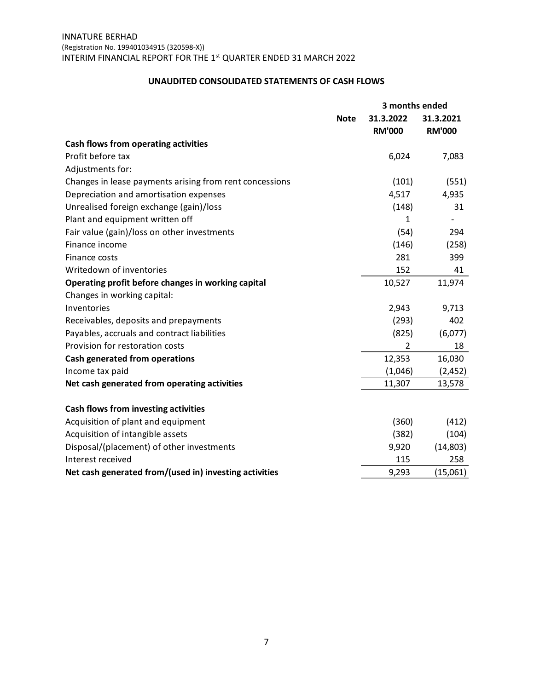### **UNAUDITED CONSOLIDATED STATEMENTS OF CASH FLOWS**

|                                                         |             | 3 months ended             |                            |  |
|---------------------------------------------------------|-------------|----------------------------|----------------------------|--|
|                                                         | <b>Note</b> | 31.3.2022<br><b>RM'000</b> | 31.3.2021<br><b>RM'000</b> |  |
| Cash flows from operating activities                    |             |                            |                            |  |
| Profit before tax                                       |             | 6,024                      | 7,083                      |  |
| Adjustments for:                                        |             |                            |                            |  |
| Changes in lease payments arising from rent concessions |             | (101)                      | (551)                      |  |
| Depreciation and amortisation expenses                  |             | 4,517                      | 4,935                      |  |
| Unrealised foreign exchange (gain)/loss                 |             | (148)                      | 31                         |  |
| Plant and equipment written off                         |             | 1                          |                            |  |
| Fair value (gain)/loss on other investments             |             | (54)                       | 294                        |  |
| Finance income                                          |             | (146)                      | (258)                      |  |
| Finance costs                                           |             | 281                        | 399                        |  |
| Writedown of inventories                                |             | 152                        | 41                         |  |
| Operating profit before changes in working capital      |             | 10,527                     | 11,974                     |  |
| Changes in working capital:                             |             |                            |                            |  |
| Inventories                                             |             | 2,943                      | 9,713                      |  |
| Receivables, deposits and prepayments                   |             | (293)                      | 402                        |  |
| Payables, accruals and contract liabilities             |             | (825)                      | (6,077)                    |  |
| Provision for restoration costs                         |             | 2                          | 18                         |  |
| Cash generated from operations                          |             | 12,353                     | 16,030                     |  |
| Income tax paid                                         |             | (1,046)                    | (2,452)                    |  |
| Net cash generated from operating activities            |             | 11,307                     | 13,578                     |  |
| Cash flows from investing activities                    |             |                            |                            |  |
| Acquisition of plant and equipment                      |             | (360)                      | (412)                      |  |
| Acquisition of intangible assets                        |             | (382)                      | (104)                      |  |
| Disposal/(placement) of other investments               |             | 9,920                      | (14, 803)                  |  |
| Interest received                                       |             | 115                        | 258                        |  |
| Net cash generated from/(used in) investing activities  |             | 9,293                      | (15,061)                   |  |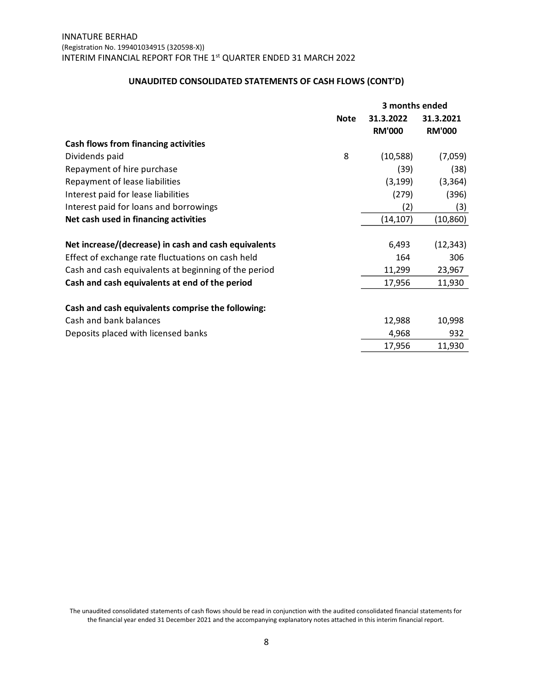# **UNAUDITED CONSOLIDATED STATEMENTS OF CASH FLOWS (CONT'D)**

|                                                      | 3 months ended |               |               |  |
|------------------------------------------------------|----------------|---------------|---------------|--|
|                                                      | <b>Note</b>    | 31.3.2022     | 31.3.2021     |  |
|                                                      |                | <b>RM'000</b> | <b>RM'000</b> |  |
| Cash flows from financing activities                 |                |               |               |  |
| Dividends paid                                       | 8              | (10, 588)     | (7,059)       |  |
| Repayment of hire purchase                           |                | (39)          | (38)          |  |
| Repayment of lease liabilities                       |                | (3, 199)      | (3, 364)      |  |
| Interest paid for lease liabilities                  |                | (279)         | (396)         |  |
| Interest paid for loans and borrowings               |                | (2)           | (3)           |  |
| Net cash used in financing activities                |                | (14, 107)     | (10, 860)     |  |
| Net increase/(decrease) in cash and cash equivalents |                | 6,493         | (12, 343)     |  |
| Effect of exchange rate fluctuations on cash held    |                | 164           | 306           |  |
| Cash and cash equivalents at beginning of the period |                | 11,299        | 23,967        |  |
| Cash and cash equivalents at end of the period       |                | 17,956        | 11,930        |  |
| Cash and cash equivalents comprise the following:    |                |               |               |  |
| Cash and bank balances                               |                | 12,988        | 10,998        |  |
| Deposits placed with licensed banks                  |                | 4,968         | 932           |  |
|                                                      |                | 17,956        | 11,930        |  |

The unaudited consolidated statements of cash flows should be read in conjunction with the audited consolidated financial statements for the financial year ended 31 December 2021 and the accompanying explanatory notes attached in this interim financial report.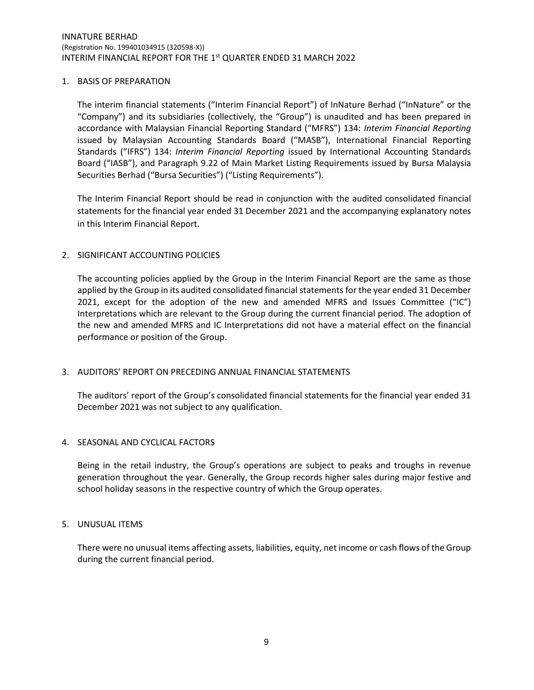### 1. BASIS OF PREPARATION

The interim financial statements ("Interim Financial Report") of InNature Berhad ("InNature" or the "Company") and its subsidiaries (collectively, the "Group") is unaudited and has been prepared in accordance with Malaysian Financial Reporting Standard ("MFRS") 134: *Interim Financial Reporting* issued by Malaysian Accounting Standards Board ("MASB"), International Financial Reporting Standards ("IFRS") 134: *Interim Financial Reporting* issued by International Accounting Standards Board ("IASB"), and Paragraph 9.22 of Main Market Listing Requirements issued by Bursa Malaysia Securities Berhad ("Bursa Securities") ("Listing Requirements").

The Interim Financial Report should be read in conjunction with the audited consolidated financial statements for the financial year ended 31 December 2021 and the accompanying explanatory notes in this Interim Financial Report.

### 2. SIGNIFICANT ACCOUNTING POLICIES

The accounting policies applied by the Group in the Interim Financial Report are the same as those applied by the Group in its audited consolidated financial statements for the year ended 31 December 2021, except for the adoption of the new and amended MFRS and Issues Committee ("IC") Interpretations which are relevant to the Group during the current financial period. The adoption of the new and amended MFRS and IC Interpretations did not have a material effect on the financial performance or position of the Group.

## 3. AUDITORS' REPORT ON PRECEDING ANNUAL FINANCIAL STATEMENTS

The auditors' report of the Group's consolidated financial statements for the financial year ended 31 December 2021 was not subject to any qualification.

## 4. SEASONAL AND CYCLICAL FACTORS

Being in the retail industry, the Group's operations are subject to peaks and troughs in revenue generation throughout the year. Generally, the Group records higher sales during major festive and school holiday seasons in the respective country of which the Group operates.

#### 5. UNUSUAL ITEMS

There were no unusual items affecting assets, liabilities, equity, net income or cash flows of the Group during the current financial period.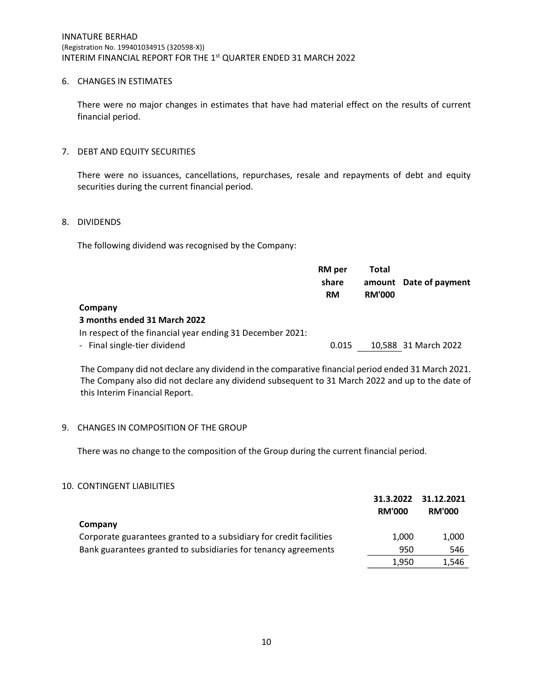## 6. CHANGES IN ESTIMATES

There were no major changes in estimates that have had material effect on the results of current financial period.

### 7. DEBT AND EQUITY SECURITIES

There were no issuances, cancellations, repurchases, resale and repayments of debt and equity securities during the current financial period.

### 8. DIVIDENDS

The following dividend was recognised by the Company:

|                                                           | RM per<br>share<br><b>RM</b> | Total<br><b>RM'000</b> | amount Date of payment |
|-----------------------------------------------------------|------------------------------|------------------------|------------------------|
| Company                                                   |                              |                        |                        |
| 3 months ended 31 March 2022                              |                              |                        |                        |
| In respect of the financial year ending 31 December 2021: |                              |                        |                        |
| - Final single-tier dividend                              | 0.015                        |                        | 10,588 31 March 2022   |

The Company did not declare any dividend in the comparative financial period ended 31 March 2021. The Company also did not declare any dividend subsequent to 31 March 2022 and up to the date of this Interim Financial Report.

## 9. CHANGES IN COMPOSITION OF THE GROUP

There was no change to the composition of the Group during the current financial period.

## 10. CONTINGENT LIABILITIES

|                                                                    | 31.3.2022<br><b>RM'000</b> | 31.12.2021<br><b>RM'000</b> |
|--------------------------------------------------------------------|----------------------------|-----------------------------|
| Company                                                            |                            |                             |
| Corporate guarantees granted to a subsidiary for credit facilities | 1.000                      | 1,000                       |
| Bank guarantees granted to subsidiaries for tenancy agreements     | 950                        | 546                         |
|                                                                    | 1.950                      | 1.546                       |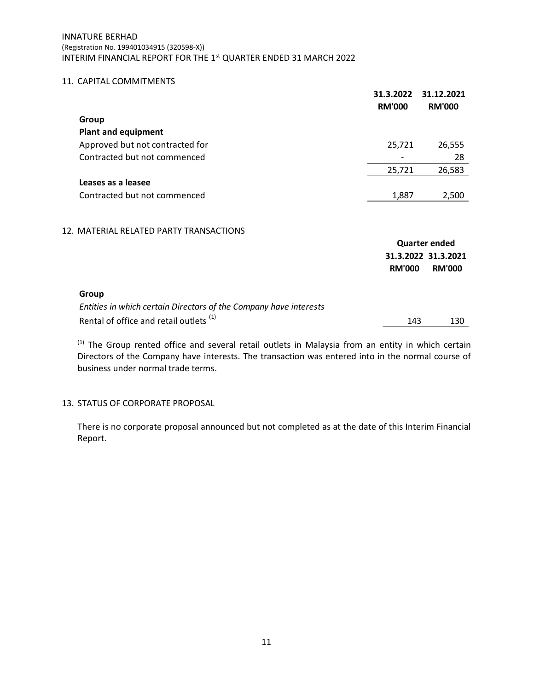## INNATURE BERHAD (Registration No. 199401034915 (320598-X)) INTERIM FINANCIAL REPORT FOR THE 1st QUARTER ENDED 31 MARCH 2022

## 11. CAPITAL COMMITMENTS

|                                 | 31.3.2022<br><b>RM'000</b> | 31.12.2021<br><b>RM'000</b> |
|---------------------------------|----------------------------|-----------------------------|
| Group                           |                            |                             |
| <b>Plant and equipment</b>      |                            |                             |
| Approved but not contracted for | 25,721                     | 26,555                      |
| Contracted but not commenced    |                            | 28                          |
|                                 | 25,721                     | 26,583                      |
| Leases as a leasee              |                            |                             |
| Contracted but not commenced    | 1,887                      | 2,500                       |
|                                 |                            |                             |

## 12. MATERIAL RELATED PARTY TRANSACTIONS

|                                                                   | Quarter ended       |               |  |
|-------------------------------------------------------------------|---------------------|---------------|--|
|                                                                   | 31.3.2022 31.3.2021 |               |  |
|                                                                   | <b>RM'000</b>       | <b>RM'000</b> |  |
| Group                                                             |                     |               |  |
| Entities in which certain Directors of the Company have interests |                     |               |  |
| Rental of office and retail outlets <sup>(1)</sup>                | 143                 | 130           |  |

<sup>(1)</sup> The Group rented office and several retail outlets in Malaysia from an entity in which certain Directors of the Company have interests. The transaction was entered into in the normal course of business under normal trade terms.

## 13. STATUS OF CORPORATE PROPOSAL

There is no corporate proposal announced but not completed as at the date of this Interim Financial Report.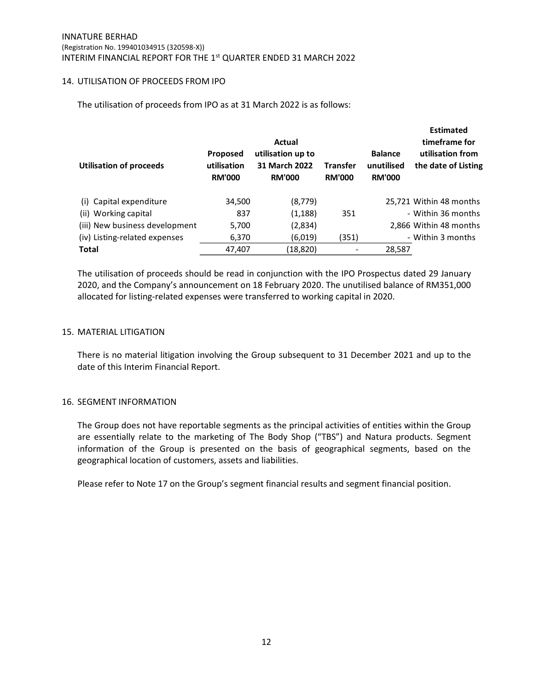### 14. UTILISATION OF PROCEEDS FROM IPO

The utilisation of proceeds from IPO as at 31 March 2022 is as follows:

| <b>Utilisation of proceeds</b> | Proposed<br>utilisation<br><b>RM'000</b> | Actual<br>utilisation up to<br>31 March 2022<br><b>RM'000</b> | <b>Transfer</b><br><b>RM'000</b> | <b>Balance</b><br>unutilised<br><b>RM'000</b> | <b>Estimated</b><br>timeframe for<br>utilisation from<br>the date of Listing |
|--------------------------------|------------------------------------------|---------------------------------------------------------------|----------------------------------|-----------------------------------------------|------------------------------------------------------------------------------|
| (i) Capital expenditure        | 34,500                                   | (8,779)                                                       |                                  |                                               | 25,721 Within 48 months                                                      |
| (ii) Working capital           | 837                                      | (1,188)                                                       | 351                              |                                               | - Within 36 months                                                           |
| (iii) New business development | 5,700                                    | (2,834)                                                       |                                  |                                               | 2.866 Within 48 months                                                       |
| (iv) Listing-related expenses  | 6,370                                    | (6,019)                                                       | (351)                            |                                               | - Within 3 months                                                            |
| <b>Total</b>                   | 47,407                                   | (18, 820)                                                     |                                  | 28,587                                        |                                                                              |

The utilisation of proceeds should be read in conjunction with the IPO Prospectus dated 29 January 2020, and the Company's announcement on 18 February 2020. The unutilised balance of RM351,000 allocated for listing-related expenses were transferred to working capital in 2020.

### 15. MATERIAL LITIGATION

There is no material litigation involving the Group subsequent to 31 December 2021 and up to the date of this Interim Financial Report.

#### 16. SEGMENT INFORMATION

The Group does not have reportable segments as the principal activities of entities within the Group are essentially relate to the marketing of The Body Shop ("TBS") and Natura products. Segment information of the Group is presented on the basis of geographical segments, based on the geographical location of customers, assets and liabilities.

Please refer to Note 17 on the Group's segment financial results and segment financial position.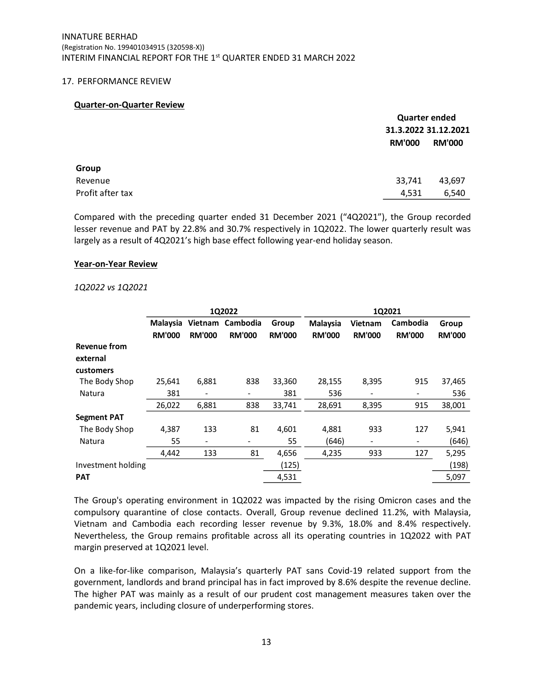#### 17. PERFORMANCE REVIEW

#### **Quarter-on-Quarter Review**

|                  |               | <b>Quarter ended</b> |  |  |
|------------------|---------------|----------------------|--|--|
|                  |               | 31.3.2022 31.12.2021 |  |  |
|                  | <b>RM'000</b> | <b>RM'000</b>        |  |  |
| Group            |               |                      |  |  |
| Revenue          | 33,741        | 43,697               |  |  |
| Profit after tax | 4,531         | 6,540                |  |  |

Compared with the preceding quarter ended 31 December 2021 ("4Q2021"), the Group recorded lesser revenue and PAT by 22.8% and 30.7% respectively in 1Q2022. The lower quarterly result was largely as a result of 4Q2021's high base effect following year-end holiday season.

#### **Year-on-Year Review**

#### *1Q2022 vs 1Q2021*

|                     | 1Q2022        |                          |                  | 1Q2021        |               |                |                 |               |
|---------------------|---------------|--------------------------|------------------|---------------|---------------|----------------|-----------------|---------------|
|                     | Malaysia      |                          | Vietnam Cambodia | Group         | Malaysia      | <b>Vietnam</b> | <b>Cambodia</b> | Group         |
|                     | <b>RM'000</b> | <b>RM'000</b>            | <b>RM'000</b>    | <b>RM'000</b> | <b>RM'000</b> | <b>RM'000</b>  | <b>RM'000</b>   | <b>RM'000</b> |
| <b>Revenue from</b> |               |                          |                  |               |               |                |                 |               |
| external            |               |                          |                  |               |               |                |                 |               |
| customers           |               |                          |                  |               |               |                |                 |               |
| The Body Shop       | 25,641        | 6,881                    | 838              | 33,360        | 28,155        | 8,395          | 915             | 37,465        |
| Natura              | 381           |                          |                  | 381           | 536           |                |                 | 536           |
|                     | 26,022        | 6,881                    | 838              | 33,741        | 28,691        | 8,395          | 915             | 38,001        |
| <b>Segment PAT</b>  |               |                          |                  |               |               |                |                 |               |
| The Body Shop       | 4,387         | 133                      | 81               | 4,601         | 4,881         | 933            | 127             | 5,941         |
| Natura              | 55            | $\overline{\phantom{a}}$ |                  | 55            | (646)         |                |                 | (646)         |
|                     | 4,442         | 133                      | 81               | 4,656         | 4,235         | 933            | 127             | 5,295         |
| Investment holding  |               |                          |                  | (125)         |               |                |                 | (198)         |
| <b>PAT</b>          |               |                          |                  | 4,531         |               |                |                 | 5,097         |

The Group's operating environment in 1Q2022 was impacted by the rising Omicron cases and the compulsory quarantine of close contacts. Overall, Group revenue declined 11.2%, with Malaysia, Vietnam and Cambodia each recording lesser revenue by 9.3%, 18.0% and 8.4% respectively. Nevertheless, the Group remains profitable across all its operating countries in 1Q2022 with PAT margin preserved at 1Q2021 level.

On a like-for-like comparison, Malaysia's quarterly PAT sans Covid-19 related support from the government, landlords and brand principal has in fact improved by 8.6% despite the revenue decline. The higher PAT was mainly as a result of our prudent cost management measures taken over the pandemic years, including closure of underperforming stores.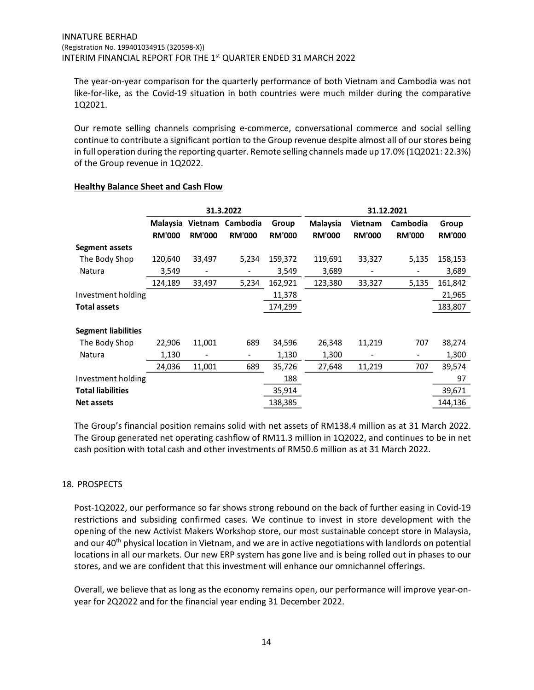The year-on-year comparison for the quarterly performance of both Vietnam and Cambodia was not like-for-like, as the Covid-19 situation in both countries were much milder during the comparative 1Q2021.

Our remote selling channels comprising e-commerce, conversational commerce and social selling continue to contribute a significant portion to the Group revenue despite almost all of our stores being in full operation during the reporting quarter. Remote selling channels made up 17.0% (1Q2021: 22.3%) of the Group revenue in 1Q2022.

|                            | 31.3.2022                 |                          |                           | 31.12.2021             |                                  |                                 |                           |                        |
|----------------------------|---------------------------|--------------------------|---------------------------|------------------------|----------------------------------|---------------------------------|---------------------------|------------------------|
|                            | Malaysia<br><b>RM'000</b> | Vietnam<br><b>RM'000</b> | Cambodia<br><b>RM'000</b> | Group<br><b>RM'000</b> | <b>Malaysia</b><br><b>RM'000</b> | <b>Vietnam</b><br><b>RM'000</b> | Cambodia<br><b>RM'000</b> | Group<br><b>RM'000</b> |
| Segment assets             |                           |                          |                           |                        |                                  |                                 |                           |                        |
| The Body Shop              | 120,640                   | 33,497                   | 5,234                     | 159,372                | 119,691                          | 33,327                          | 5,135                     | 158,153                |
| Natura                     | 3,549                     |                          |                           | 3,549                  | 3,689                            |                                 |                           | 3,689                  |
|                            | 124,189                   | 33,497                   | 5,234                     | 162,921                | 123,380                          | 33,327                          | 5,135                     | 161,842                |
| Investment holding         |                           |                          |                           | 11,378                 |                                  |                                 |                           | 21,965                 |
| <b>Total assets</b>        |                           |                          |                           | 174,299                |                                  |                                 |                           | 183,807                |
| <b>Segment liabilities</b> |                           |                          |                           |                        |                                  |                                 |                           |                        |
| The Body Shop              | 22,906                    | 11,001                   | 689                       | 34,596                 | 26,348                           | 11,219                          | 707                       | 38,274                 |
| Natura                     | 1,130                     |                          |                           | 1,130                  | 1,300                            |                                 |                           | 1,300                  |
|                            | 24,036                    | 11,001                   | 689                       | 35,726                 | 27,648                           | 11,219                          | 707                       | 39,574                 |
| Investment holding         |                           |                          |                           | 188                    |                                  |                                 |                           | 97                     |
| <b>Total liabilities</b>   |                           |                          |                           | 35,914                 |                                  |                                 |                           | 39,671                 |
| <b>Net assets</b>          |                           |                          |                           | 138,385                |                                  |                                 |                           | 144.136                |

## **Healthy Balance Sheet and Cash Flow**

The Group's financial position remains solid with net assets of RM138.4 million as at 31 March 2022. The Group generated net operating cashflow of RM11.3 million in 1Q2022, and continues to be in net cash position with total cash and other investments of RM50.6 million as at 31 March 2022.

## 18. PROSPECTS

Post-1Q2022, our performance so far shows strong rebound on the back of further easing in Covid-19 restrictions and subsiding confirmed cases. We continue to invest in store development with the opening of the new Activist Makers Workshop store, our most sustainable concept store in Malaysia, and our 40<sup>th</sup> physical location in Vietnam, and we are in active negotiations with landlords on potential locations in all our markets. Our new ERP system has gone live and is being rolled out in phases to our stores, and we are confident that this investment will enhance our omnichannel offerings.

Overall, we believe that as long as the economy remains open, our performance will improve year-onyear for 2Q2022 and for the financial year ending 31 December 2022.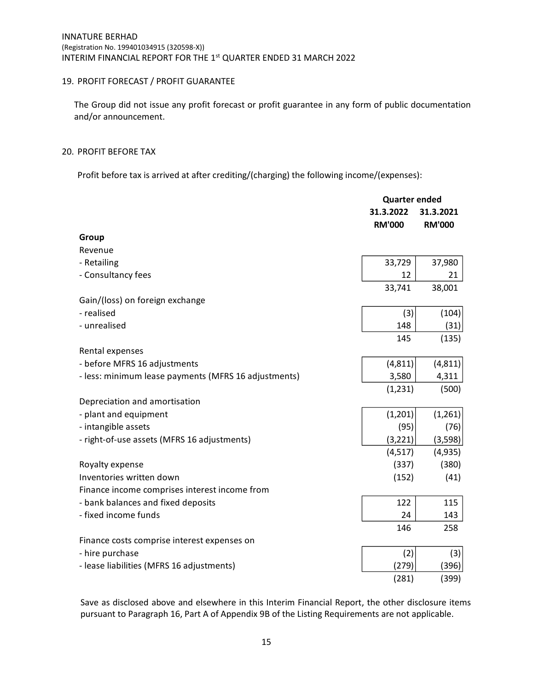## 19. PROFIT FORECAST / PROFIT GUARANTEE

The Group did not issue any profit forecast or profit guarantee in any form of public documentation and/or announcement.

### 20. PROFIT BEFORE TAX

Profit before tax is arrived at after crediting/(charging) the following income/(expenses):

|                                                      |                            | <b>Quarter ended</b>       |  |  |
|------------------------------------------------------|----------------------------|----------------------------|--|--|
|                                                      | 31.3.2022<br><b>RM'000</b> | 31.3.2021<br><b>RM'000</b> |  |  |
| Group                                                |                            |                            |  |  |
| Revenue                                              |                            |                            |  |  |
| - Retailing                                          | 33,729                     | 37,980                     |  |  |
| - Consultancy fees                                   | 12                         | 21                         |  |  |
|                                                      | 33,741                     | 38,001                     |  |  |
| Gain/(loss) on foreign exchange                      |                            |                            |  |  |
| - realised                                           | (3)                        | (104)                      |  |  |
| - unrealised                                         | 148                        | (31)                       |  |  |
|                                                      | 145                        | (135)                      |  |  |
| Rental expenses                                      |                            |                            |  |  |
| - before MFRS 16 adjustments                         | (4, 811)                   | (4, 811)                   |  |  |
| - less: minimum lease payments (MFRS 16 adjustments) | 3,580                      | 4,311                      |  |  |
|                                                      | (1, 231)                   | (500)                      |  |  |
| Depreciation and amortisation                        |                            |                            |  |  |
| - plant and equipment                                | (1,201)                    | (1,261)                    |  |  |
| - intangible assets                                  | (95)                       | (76)                       |  |  |
| - right-of-use assets (MFRS 16 adjustments)          | (3, 221)                   | (3,598)                    |  |  |
|                                                      | (4, 517)                   | (4,935)                    |  |  |
| Royalty expense                                      | (337)                      | (380)                      |  |  |
| Inventories written down                             | (152)                      | (41)                       |  |  |
| Finance income comprises interest income from        |                            |                            |  |  |
| - bank balances and fixed deposits                   | 122                        | 115                        |  |  |
| - fixed income funds                                 | 24                         | 143                        |  |  |
|                                                      | 146                        | 258                        |  |  |
| Finance costs comprise interest expenses on          |                            |                            |  |  |
| - hire purchase                                      | (2)                        | (3)                        |  |  |
| - lease liabilities (MFRS 16 adjustments)            | (279)                      | (396)                      |  |  |
|                                                      | (281)                      | (399)                      |  |  |

Save as disclosed above and elsewhere in this Interim Financial Report, the other disclosure items pursuant to Paragraph 16, Part A of Appendix 9B of the Listing Requirements are not applicable.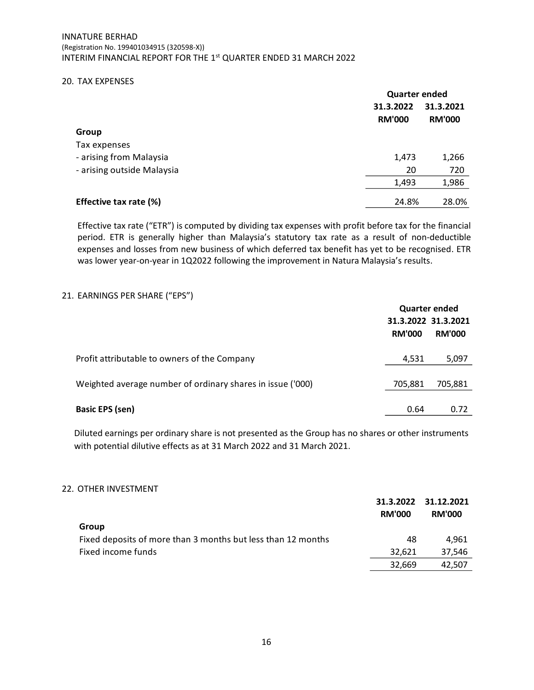#### 20. TAX EXPENSES

|                            | <b>Quarter ended</b>       |                            |  |
|----------------------------|----------------------------|----------------------------|--|
|                            | 31.3.2022<br><b>RM'000</b> | 31.3.2021<br><b>RM'000</b> |  |
| Group                      |                            |                            |  |
| Tax expenses               |                            |                            |  |
| - arising from Malaysia    | 1,473                      | 1,266                      |  |
| - arising outside Malaysia | 20                         | 720                        |  |
|                            | 1,493                      | 1,986                      |  |
| Effective tax rate (%)     | 24.8%                      | 28.0%                      |  |

Effective tax rate ("ETR") is computed by dividing tax expenses with profit before tax for the financial period. ETR is generally higher than Malaysia's statutory tax rate as a result of non-deductible expenses and losses from new business of which deferred tax benefit has yet to be recognised. ETR was lower year-on-year in 1Q2022 following the improvement in Natura Malaysia's results.

### 21. EARNINGS PER SHARE ("EPS")

|                                                            | <b>Quarter ended</b> |               |  |
|------------------------------------------------------------|----------------------|---------------|--|
|                                                            | 31.3.2022 31.3.2021  |               |  |
|                                                            | <b>RM'000</b>        | <b>RM'000</b> |  |
| Profit attributable to owners of the Company               | 4,531                | 5,097         |  |
| Weighted average number of ordinary shares in issue ('000) | 705,881              | 705,881       |  |
| <b>Basic EPS (sen)</b>                                     | 0.64                 | 0.72          |  |

Diluted earnings per ordinary share is not presented as the Group has no shares or other instruments with potential dilutive effects as at 31 March 2022 and 31 March 2021.

#### 22. OTHER INVESTMENT

|                                                              |               | 31.3.2022 31.12.2021 |
|--------------------------------------------------------------|---------------|----------------------|
|                                                              | <b>RM'000</b> | <b>RM'000</b>        |
| Group                                                        |               |                      |
| Fixed deposits of more than 3 months but less than 12 months | 48            | 4.961                |
| Fixed income funds                                           | 32.621        | 37.546               |
|                                                              | 32.669        | 42.507               |